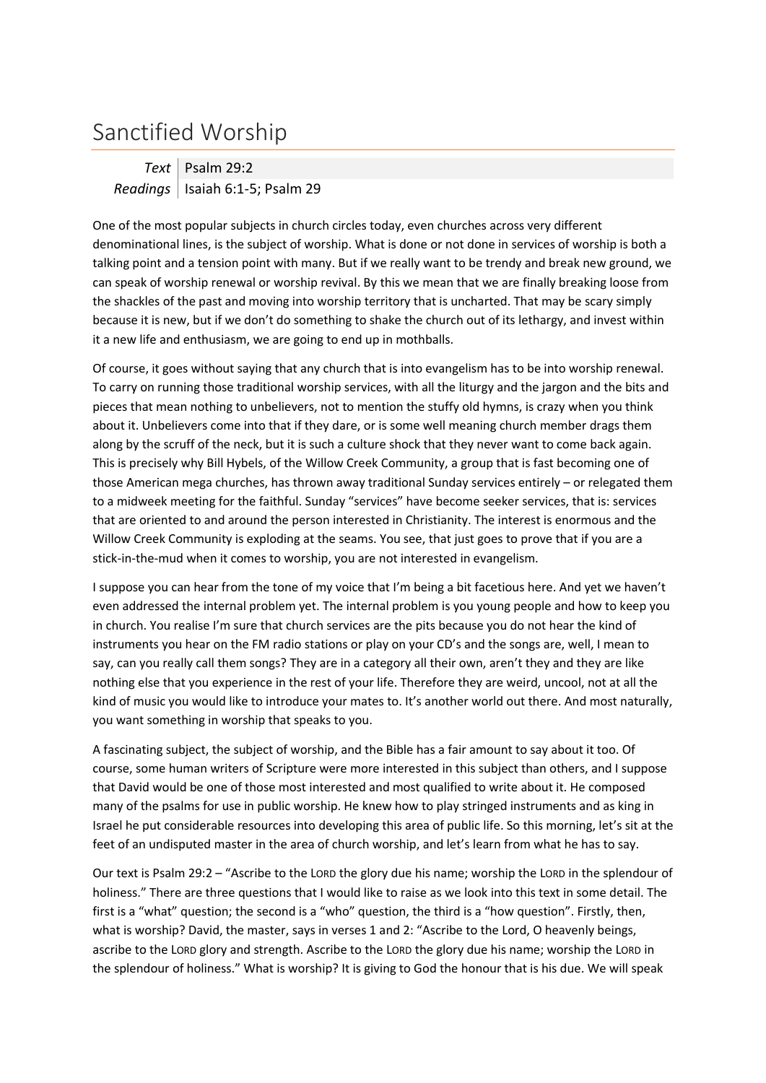## Sanctified Worship

*Text* Psalm 29:2 *Readings* Isaiah 6:1-5; Psalm 29

One of the most popular subjects in church circles today, even churches across very different denominational lines, is the subject of worship. What is done or not done in services of worship is both a talking point and a tension point with many. But if we really want to be trendy and break new ground, we can speak of worship renewal or worship revival. By this we mean that we are finally breaking loose from the shackles of the past and moving into worship territory that is uncharted. That may be scary simply because it is new, but if we don't do something to shake the church out of its lethargy, and invest within it a new life and enthusiasm, we are going to end up in mothballs.

Of course, it goes without saying that any church that is into evangelism has to be into worship renewal. To carry on running those traditional worship services, with all the liturgy and the jargon and the bits and pieces that mean nothing to unbelievers, not to mention the stuffy old hymns, is crazy when you think about it. Unbelievers come into that if they dare, or is some well meaning church member drags them along by the scruff of the neck, but it is such a culture shock that they never want to come back again. This is precisely why Bill Hybels, of the Willow Creek Community, a group that is fast becoming one of those American mega churches, has thrown away traditional Sunday services entirely – or relegated them to a midweek meeting for the faithful. Sunday "services" have become seeker services, that is: services that are oriented to and around the person interested in Christianity. The interest is enormous and the Willow Creek Community is exploding at the seams. You see, that just goes to prove that if you are a stick-in-the-mud when it comes to worship, you are not interested in evangelism.

I suppose you can hear from the tone of my voice that I'm being a bit facetious here. And yet we haven't even addressed the internal problem yet. The internal problem is you young people and how to keep you in church. You realise I'm sure that church services are the pits because you do not hear the kind of instruments you hear on the FM radio stations or play on your CD's and the songs are, well, I mean to say, can you really call them songs? They are in a category all their own, aren't they and they are like nothing else that you experience in the rest of your life. Therefore they are weird, uncool, not at all the kind of music you would like to introduce your mates to. It's another world out there. And most naturally, you want something in worship that speaks to you.

A fascinating subject, the subject of worship, and the Bible has a fair amount to say about it too. Of course, some human writers of Scripture were more interested in this subject than others, and I suppose that David would be one of those most interested and most qualified to write about it. He composed many of the psalms for use in public worship. He knew how to play stringed instruments and as king in Israel he put considerable resources into developing this area of public life. So this morning, let's sit at the feet of an undisputed master in the area of church worship, and let's learn from what he has to say.

Our text is Psalm 29:2 – "Ascribe to the LORD the glory due his name; worship the LORD in the splendour of holiness." There are three questions that I would like to raise as we look into this text in some detail. The first is a "what" question; the second is a "who" question, the third is a "how question". Firstly, then, what is worship? David, the master, says in verses 1 and 2: "Ascribe to the Lord, O heavenly beings, ascribe to the LORD glory and strength. Ascribe to the LORD the glory due his name; worship the LORD in the splendour of holiness." What is worship? It is giving to God the honour that is his due. We will speak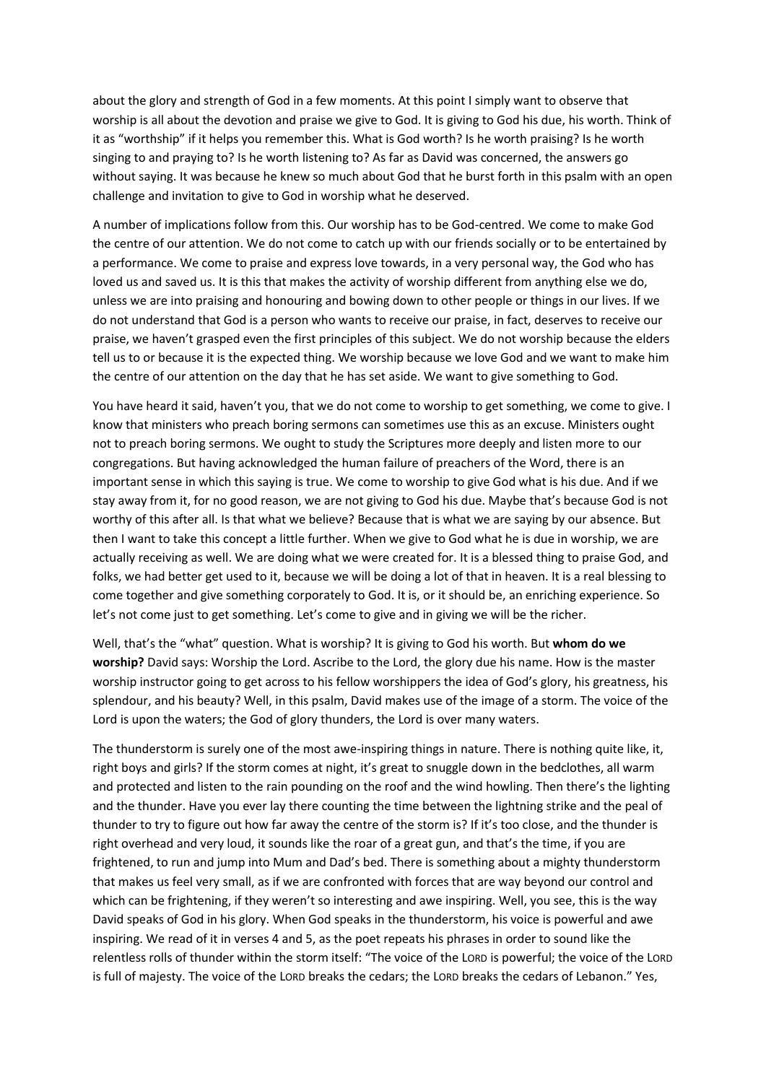about the glory and strength of God in a few moments. At this point I simply want to observe that worship is all about the devotion and praise we give to God. It is giving to God his due, his worth. Think of it as "worthship" if it helps you remember this. What is God worth? Is he worth praising? Is he worth singing to and praying to? Is he worth listening to? As far as David was concerned, the answers go without saying. It was because he knew so much about God that he burst forth in this psalm with an open challenge and invitation to give to God in worship what he deserved.

A number of implications follow from this. Our worship has to be God-centred. We come to make God the centre of our attention. We do not come to catch up with our friends socially or to be entertained by a performance. We come to praise and express love towards, in a very personal way, the God who has loved us and saved us. It is this that makes the activity of worship different from anything else we do, unless we are into praising and honouring and bowing down to other people or things in our lives. If we do not understand that God is a person who wants to receive our praise, in fact, deserves to receive our praise, we haven't grasped even the first principles of this subject. We do not worship because the elders tell us to or because it is the expected thing. We worship because we love God and we want to make him the centre of our attention on the day that he has set aside. We want to give something to God.

You have heard it said, haven't you, that we do not come to worship to get something, we come to give. I know that ministers who preach boring sermons can sometimes use this as an excuse. Ministers ought not to preach boring sermons. We ought to study the Scriptures more deeply and listen more to our congregations. But having acknowledged the human failure of preachers of the Word, there is an important sense in which this saying is true. We come to worship to give God what is his due. And if we stay away from it, for no good reason, we are not giving to God his due. Maybe that's because God is not worthy of this after all. Is that what we believe? Because that is what we are saying by our absence. But then I want to take this concept a little further. When we give to God what he is due in worship, we are actually receiving as well. We are doing what we were created for. It is a blessed thing to praise God, and folks, we had better get used to it, because we will be doing a lot of that in heaven. It is a real blessing to come together and give something corporately to God. It is, or it should be, an enriching experience. So let's not come just to get something. Let's come to give and in giving we will be the richer.

Well, that's the "what" question. What is worship? It is giving to God his worth. But **whom do we worship?** David says: Worship the Lord. Ascribe to the Lord, the glory due his name. How is the master worship instructor going to get across to his fellow worshippers the idea of God's glory, his greatness, his splendour, and his beauty? Well, in this psalm, David makes use of the image of a storm. The voice of the Lord is upon the waters; the God of glory thunders, the Lord is over many waters.

The thunderstorm is surely one of the most awe-inspiring things in nature. There is nothing quite like, it, right boys and girls? If the storm comes at night, it's great to snuggle down in the bedclothes, all warm and protected and listen to the rain pounding on the roof and the wind howling. Then there's the lighting and the thunder. Have you ever lay there counting the time between the lightning strike and the peal of thunder to try to figure out how far away the centre of the storm is? If it's too close, and the thunder is right overhead and very loud, it sounds like the roar of a great gun, and that's the time, if you are frightened, to run and jump into Mum and Dad's bed. There is something about a mighty thunderstorm that makes us feel very small, as if we are confronted with forces that are way beyond our control and which can be frightening, if they weren't so interesting and awe inspiring. Well, you see, this is the way David speaks of God in his glory. When God speaks in the thunderstorm, his voice is powerful and awe inspiring. We read of it in verses 4 and 5, as the poet repeats his phrases in order to sound like the relentless rolls of thunder within the storm itself: "The voice of the LORD is powerful; the voice of the LORD is full of majesty. The voice of the LORD breaks the cedars; the LORD breaks the cedars of Lebanon." Yes,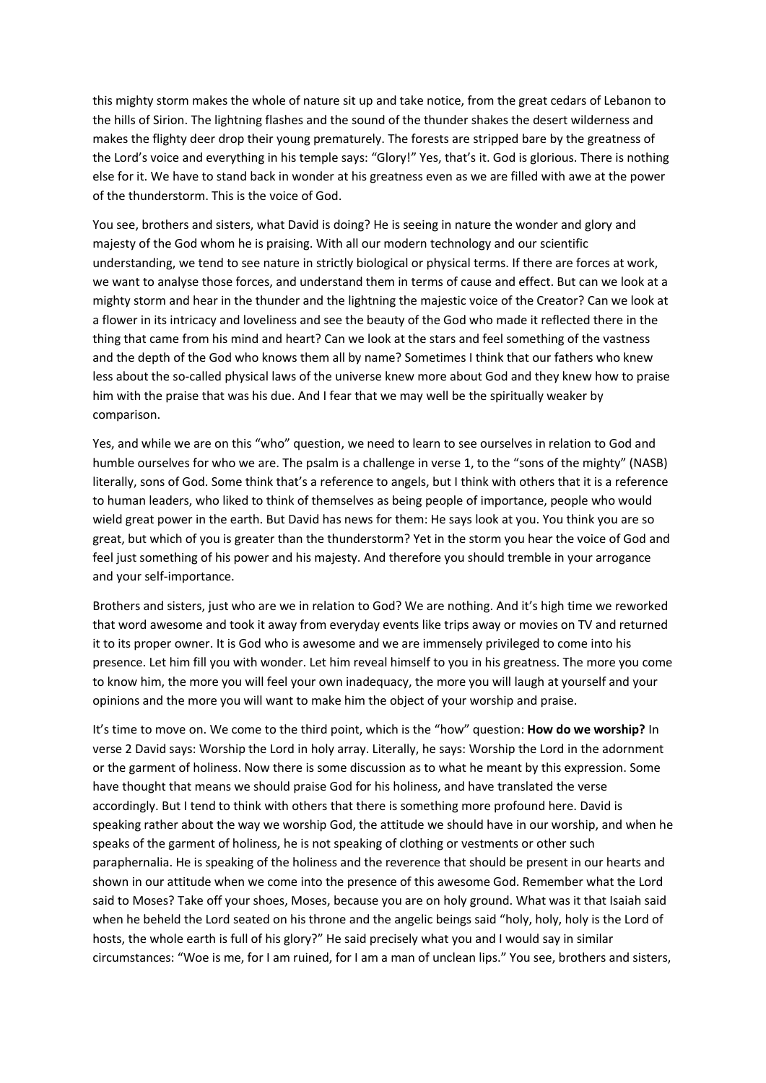this mighty storm makes the whole of nature sit up and take notice, from the great cedars of Lebanon to the hills of Sirion. The lightning flashes and the sound of the thunder shakes the desert wilderness and makes the flighty deer drop their young prematurely. The forests are stripped bare by the greatness of the Lord's voice and everything in his temple says: "Glory!" Yes, that's it. God is glorious. There is nothing else for it. We have to stand back in wonder at his greatness even as we are filled with awe at the power of the thunderstorm. This is the voice of God.

You see, brothers and sisters, what David is doing? He is seeing in nature the wonder and glory and majesty of the God whom he is praising. With all our modern technology and our scientific understanding, we tend to see nature in strictly biological or physical terms. If there are forces at work, we want to analyse those forces, and understand them in terms of cause and effect. But can we look at a mighty storm and hear in the thunder and the lightning the majestic voice of the Creator? Can we look at a flower in its intricacy and loveliness and see the beauty of the God who made it reflected there in the thing that came from his mind and heart? Can we look at the stars and feel something of the vastness and the depth of the God who knows them all by name? Sometimes I think that our fathers who knew less about the so-called physical laws of the universe knew more about God and they knew how to praise him with the praise that was his due. And I fear that we may well be the spiritually weaker by comparison.

Yes, and while we are on this "who" question, we need to learn to see ourselves in relation to God and humble ourselves for who we are. The psalm is a challenge in verse 1, to the "sons of the mighty" (NASB) literally, sons of God. Some think that's a reference to angels, but I think with others that it is a reference to human leaders, who liked to think of themselves as being people of importance, people who would wield great power in the earth. But David has news for them: He says look at you. You think you are so great, but which of you is greater than the thunderstorm? Yet in the storm you hear the voice of God and feel just something of his power and his majesty. And therefore you should tremble in your arrogance and your self-importance.

Brothers and sisters, just who are we in relation to God? We are nothing. And it's high time we reworked that word awesome and took it away from everyday events like trips away or movies on TV and returned it to its proper owner. It is God who is awesome and we are immensely privileged to come into his presence. Let him fill you with wonder. Let him reveal himself to you in his greatness. The more you come to know him, the more you will feel your own inadequacy, the more you will laugh at yourself and your opinions and the more you will want to make him the object of your worship and praise.

It's time to move on. We come to the third point, which is the "how" question: **How do we worship?** In verse 2 David says: Worship the Lord in holy array. Literally, he says: Worship the Lord in the adornment or the garment of holiness. Now there is some discussion as to what he meant by this expression. Some have thought that means we should praise God for his holiness, and have translated the verse accordingly. But I tend to think with others that there is something more profound here. David is speaking rather about the way we worship God, the attitude we should have in our worship, and when he speaks of the garment of holiness, he is not speaking of clothing or vestments or other such paraphernalia. He is speaking of the holiness and the reverence that should be present in our hearts and shown in our attitude when we come into the presence of this awesome God. Remember what the Lord said to Moses? Take off your shoes, Moses, because you are on holy ground. What was it that Isaiah said when he beheld the Lord seated on his throne and the angelic beings said "holy, holy, holy is the Lord of hosts, the whole earth is full of his glory?" He said precisely what you and I would say in similar circumstances: "Woe is me, for I am ruined, for I am a man of unclean lips." You see, brothers and sisters,